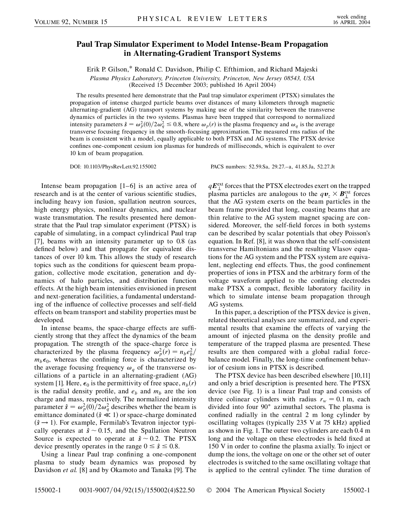## **Paul Trap Simulator Experiment to Model Intense-Beam Propagation in Alternating-Gradient Transport Systems**

Erik P. Gilson,\* Ronald C. Davidson, Philip C. Efthimion, and Richard Majeski

*Plasma Physics Laboratory, Princeton University, Princeton, New Jersey 08543, USA* (Received 15 December 2003; published 16 April 2004)

The results presented here demonstrate that the Paul trap simulator experiment (PTSX) simulates the propagation of intense charged particle beams over distances of many kilometers through magnetic alternating-gradient (AG) transport systems by making use of the similarity between the transverse dynamics of particles in the two systems. Plasmas have been trapped that correspond to normalized intensity parameters  $\hat{s} = \omega_p^2(0)/2\omega_q^2 \le 0.8$ , where  $\omega_p(r)$  is the plasma frequency and  $\omega_q$  is the average transverse focusing frequency in the smooth-focusing approximation. The measured rms radius of the beam is consistent with a model, equally applicable to both PTSX and AG systems. The PTSX device confines one-component cesium ion plasmas for hundreds of milliseconds, which is equivalent to over 10 km of beam propagation.

DOI: 10.1103/PhysRevLett.92.155002 PACS numbers: 52.59.Sa, 29.27.–a, 41.85.Ja, 52.27.Jt

Intense beam propagation [1–6] is an active area of research and is at the center of various scientific studies, including heavy ion fusion, spallation neutron sources, high energy physics, nonlinear dynamics, and nuclear waste transmutation. The results presented here demonstrate that the Paul trap simulator experiment (PTSX) is capable of simulating, in a compact cylindrical Paul trap [7], beams with an intensity parameter up to 0.8 (as defined below) and that propagate for equivalent distances of over 10 km. This allows the study of research topics such as the conditions for quiescent beam propagation, collective mode excitation, generation and dynamics of halo particles, and distribution function effects. At the high beam intensities envisioned in present and next-generation facilities, a fundamental understanding of the influence of collective processes and self-field effects on beam transport and stability properties must be developed.

In intense beams, the space-charge effects are sufficiently strong that they affect the dynamics of the beam propagation. The strength of the space-charge force is characterized by the plasma frequency  $\omega_p^2(r) = n_b e_b^2/r$  $m_b \epsilon_0$ , whereas the confining force is characterized by the average focusing frequency  $\omega_a$  of the transverse oscillations of a particle in an alternating-gradient (AG) system [1]. Here,  $\epsilon_0$  is the permittivity of free space,  $n_b(r)$ is the radial density profile, and  $e<sub>b</sub>$  and  $m<sub>b</sub>$  are the ion charge and mass, respectively. The normalized intensity parameter  $\hat{s} = \omega_p^2(0)/2\omega_q^2$  describes whether the beam is emittance dominated  $(\hat{s} \ll 1)$  or space-charge dominated  $(\hat{s} \rightarrow 1)$ . For example, Fermilab's Tevatron injector typically operates at  $\hat{s} \sim 0.15$ , and the Spallation Neutron Source is expected to operate at  $\hat{s} \sim 0.2$ . The PTSX device presently operates in the range  $0 \le \hat{s} \le 0.8$ .

Using a linear Paul trap confining a one-component plasma to study beam dynamics was proposed by Davidson *et al.* [8] and by Okamoto and Tanaka [9]. The

 $qE_{\perp}^{\text{ext}}$  forces that the PTSX electrodes exert on the trapped plasma particles are analogous to the  $q\boldsymbol{v}_z \times \boldsymbol{B}_{\perp}^{\text{ext}}$  forces that the AG system exerts on the beam particles in the beam frame provided that long, coasting beams that are thin relative to the AG system magnet spacing are considered. Moreover, the self-field forces in both systems can be described by scalar potentials that obey Poisson's equation. In Ref. [8], it was shown that the self-consistent transverse Hamiltonians and the resulting Vlasov equations for the AG system and the PTSX system are equivalent, neglecting end effects. Thus, the good confinement properties of ions in PTSX and the arbitrary form of the voltage waveform applied to the confining electrodes make PTSX a compact, flexible laboratory facility in which to simulate intense beam propagation through AG systems.

In this paper, a description of the PTSX device is given, related theoretical analyses are summarized, and experimental results that examine the effects of varying the amount of injected plasma on the density profile and temperature of the trapped plasma are presented. These results are then compared with a global radial forcebalance model. Finally, the long-time confinement behavior of cesium ions in PTSX is described.

The PTSX device has been described elsewhere [10,11] and only a brief description is presented here. The PTSX device (see Fig. 1) is a linear Paul trap and consists of three colinear cylinders with radius  $r_w = 0.1$  m, each divided into four 90 azimuthal sectors. The plasma is confined radially in the central 2 m long cylinder by oscillating voltages (typically 235 V at 75 kHz) applied as shown in Fig. 1. The outer two cylinders are each 0.4 m long and the voltage on these electrodes is held fixed at 150 V in order to confine the plasma axially. To inject or dump the ions, the voltage on one or the other set of outer electrodes is switched to the same oscillating voltage that is applied to the central cylinder. The time duration of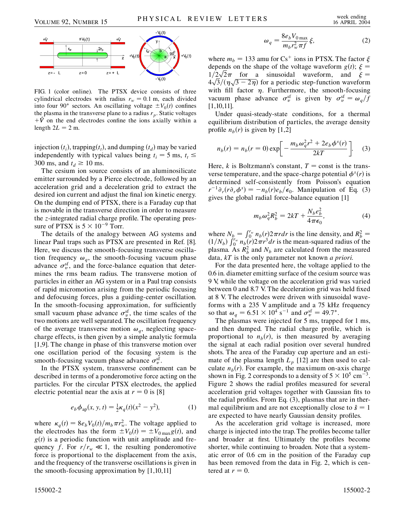

FIG. 1 (color online). The PTSX device consists of three cylindrical electrodes with radius  $r_w = 0.1$  m, each divided into four 90° sectors. An oscillating voltage  $\pm V_0(t)$  confines the plasma in the transverse plane to a radius  $r_p$ . Static voltages  $+\hat{V}$  on the end electrodes confine the ions axially within a length  $2L = 2$  m.

injection  $(t_i)$ , trapping $(t_t)$ , and dumping  $(t_d)$  may be varied independently with typical values being  $t_i = 5$  ms,  $t_t \le$ 300 ms, and  $t_d \ge 10$  ms.

The cesium ion source consists of an aluminosilicate emitter surrounded by a Pierce electrode, followed by an acceleration grid and a deceleration grid to extract the desired ion current and adjust the final ion kinetic energy. On the dumping end of PTSX, there is a Faraday cup that is movable in the transverse direction in order to measure the *z*-integrated radial charge profile. The operating pressure of PTSX is  $5 \times 10^{-9}$  Torr.

The details of the analogy between AG systems and linear Paul traps such as PTSX are presented in Ref. [8]. Here, we discuss the smooth-focusing transverse oscillation frequency  $\omega_a$ , the smooth-focusing vacuum phase advance  $\sigma_v^{sf}$ , and the force-balance equation that determines the rms beam radius. The transverse motion of particles in either an AG system or in a Paul trap consists of rapid micromotion arising from the periodic focusing and defocusing forces, plus a guiding-center oscillation. In the smooth-focusing approximation, for sufficiently small vacuum phase advance  $\sigma_v^{\text{sf}}$ , the time scales of the two motions are well separated. The oscillation frequency of the average transverse motion  $\omega_q$ , neglecting spacecharge effects, is then given by a simple analytic formula [1,9]. The change in phase of this transverse motion over one oscillation period of the focusing system is the smooth-focusing vacuum phase advance  $\sigma_v^{\text{sf}}$ .

In the PTSX system, transverse confinement can be described in terms of a ponderomotive force acting on the particles. For the circular PTSX electrodes, the applied electric potential near the axis at  $r = 0$  is [8]

$$
e_b \phi_{\rm ap}(x, y, t) = \frac{1}{2} \kappa_q(t) (x^2 - y^2), \tag{1}
$$

where  $\kappa_q(t) = 8e_b V_0(t)/m_b \pi r_w^2$ . The voltage applied to the electrodes has the form  $\pm V_0(t) = \pm V_{0\max}g(t)$ , and  $g(t)$  is a periodic function with unit amplitude and frequency *f*. For  $r/r_w \ll 1$ , the resulting ponderomotive force is proportional to the displacement from the axis, and the frequency of the transverse oscillations is given in the smooth-focusing approximation by [1,10,11]

$$
\omega_q = \frac{8e_b V_{0\,\text{max}}}{m_b r_w^2 \pi f} \xi,\tag{2}
$$

where  $m_b = 133$  amu for Cs<sup>+</sup> ions in PTSX. The factor  $\xi$ depends on the shape of the voltage waveform  $g(t)$ ;  $\xi$  = depends on the shape of the voltage waveform  $g(t)$ ;  $\xi = 1/2\sqrt{2}\pi$  for a sinusoidal waveform, and  $\xi =$  $\frac{1}{2\sqrt{2\pi}}$  for a sinusoidal waveform, and  $\xi = 4\sqrt{3}/(\eta\sqrt{3-2\eta})$  for a periodic step-function waveform with fill factor  $\eta$ . Furthermore, the smooth-focusing vacuum phase advance  $\sigma_v^{\text{sf}}$  is given by  $\sigma_v^{\text{sf}} = \omega_q/f$ [1,10,11].

Under quasi-steady-state conditions, for a thermal equilibrium distribution of particles, the average density profile  $n_b(r)$  is given by [1,2]

$$
n_b(r) = n_b(r = 0) \exp\left[-\frac{m_b \omega_q^2 r^2 + 2e_b \phi^s(r)}{2kT}\right].
$$
 (3)

Here,  $k$  is Boltzmann's constant,  $T =$  const is the transverse temperature, and the space-charge potential  $\phi^s(r)$  is determined self-consistently from Poisson's equation  $r^{-1}\partial_r(r\partial_r\phi^s) = -n_b(r)e_b/\epsilon_0$ . Manipulation of Eq. (3) gives the global radial force-balance equation [1]

$$
m_b \omega_q^2 R_b^2 = 2kT + \frac{N_b e_b^2}{4\pi\epsilon_0},\tag{4}
$$

where  $N_b = \int_0^{r_w} n_b(r) 2\pi r dr$  is the line density, and  $R_b^2 =$  $\int_{1/N_b}^{N_b - 1} \int_0^{n_b} n_b(r) 2\pi r^3 dr$  is the mean-squared radius of the plasma. As  $R_b^2$  and  $N_b$  are calculated from the measured data, *kT* is the only parameter not known *a priori*.

For the data presented here, the voltage applied to the 0.6 in. diameter emitting surface of the cesium source was 9 V, while the voltage on the acceleration grid was varied between 0 and 8.7 V. The deceleration grid was held fixed at 8 V. The electrodes were driven with sinusoidal waveforms with a 235 V amplitude and a 75 kHz frequency so that  $\omega_q = 6.51 \times 10^4 \text{ s}^{-1}$  and  $\sigma_v^{\text{sf}} = 49.7^{\circ}$ .

The plasmas were injected for 5 ms, trapped for 1 ms, and then dumped. The radial charge profile, which is proportional to  $n_b(r)$ , is then measured by averaging the signal at each radial position over several hundred shots. The area of the Faraday cup aperture and an estimate of the plasma length  $L_p$  [12] are then used to calculate  $n_b(r)$ . For example, the maximum on-axis charge shown in Fig. 2 corresponds to a density of  $5 \times 10^5$  cm<sup>-3</sup>. Figure 2 shows the radial profiles measured for several acceleration grid voltages together with Gaussian fits to the radial profiles. From Eq. (3), plasmas that are in thermal equilibrium and are not exceptionally close to  $\hat{s} = 1$ are expected to have nearly Gaussian density profiles.

As the acceleration grid voltage is increased, more charge is injected into the trap. The profiles become taller and broader at first. Ultimately the profiles become shorter, while continuing to broaden. Note that a systematic error of 0.6 cm in the position of the Faraday cup has been removed from the data in Fig. 2, which is centered at  $r = 0$ .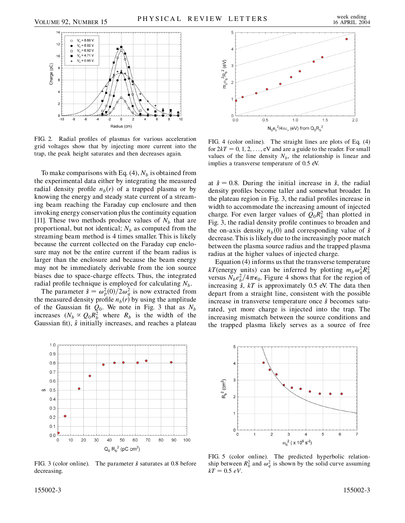

FIG. 2. Radial profiles of plasmas for various acceleration grid voltages show that by injecting more current into the trap, the peak height saturates and then decreases again.

To make comparisons with Eq.  $(4)$ ,  $N_b$  is obtained from the experimental data either by integrating the measured radial density profile  $n_b(r)$  of a trapped plasma or by knowing the energy and steady state current of a streaming beam reaching the Faraday cup enclosure and then invoking energy conservation plus the continuity equation [11]. These two methods produce values of  $N_b$  that are proportional, but not identical;  $N_b$  as computed from the streaming beam method is 4 times smaller. This is likely because the current collected on the Faraday cup enclosure may not be the entire current if the beam radius is larger than the enclosure and because the beam energy may not be immediately derivable from the ion source biases due to space-charge effects. Thus, the integrated radial profile technique is employed for calculating  $N<sub>b</sub>$ .

The parameter  $\hat{s} = \omega_p^2(0)/2\omega_q^2$  is now extracted from the measured density profile  $n_b(r)$  by using the amplitude of the Gaussian fit  $Q_0$ . We note in Fig. 3 that as  $N_b$ increases  $(N_b \propto Q_0 R_b^2)$  where  $R_b$  is the width of the Gaussian fit),  $\hat{s}$  initially increases, and reaches a plateau



FIG. 3 (color online). The parameter  $\hat{s}$  saturates at 0.8 before decreasing.



FIG. 4 (color online). The straight lines are plots of Eq. (4) for  $2kT = 0, 1, 2, \ldots$ , eV and are a guide to the reader. For small values of the line density  $N_b$ , the relationship is linear and implies a transverse temperature of 0.5 eV.

at  $\hat{s} = 0.8$ . During the initial increase in  $\hat{s}$ , the radial density profiles become taller and somewhat broader. In the plateau region in Fig. 3, the radial profiles increase in width to accommodate the increasing amount of injected charge. For even larger values of  $Q_0R_b^2$  than plotted in Fig. 3, the radial density profile continues to broaden and the on-axis density  $n_b(0)$  and corresponding value of  $\hat{s}$ decrease. This is likely due to the increasingly poor match between the plasma source radius and the trapped plasma radius at the higher values of injected charge.

Equation (4) informs us that the transverse temperature *kT*(energy units) can be inferred by plotting  $m_b \omega_q^2 R_b^2$ versus  $N_b e_b^2 / 4\pi \epsilon_0$ . Figure 4 shows that for the region of increasing  $\hat{s}$ ,  $kT$  is approximately 0.5 eV. The data then depart from a straight line, consistent with the possible increase in transverse temperature once *s*^ becomes saturated, yet more charge is injected into the trap. The increasing mismatch between the source conditions and the trapped plasma likely serves as a source of free



FIG. 5 (color online). The predicted hyperbolic relationship between  $R_b^2$  and  $\omega_q^2$  is shown by the solid curve assuming  $kT = 0.5 eV$ .